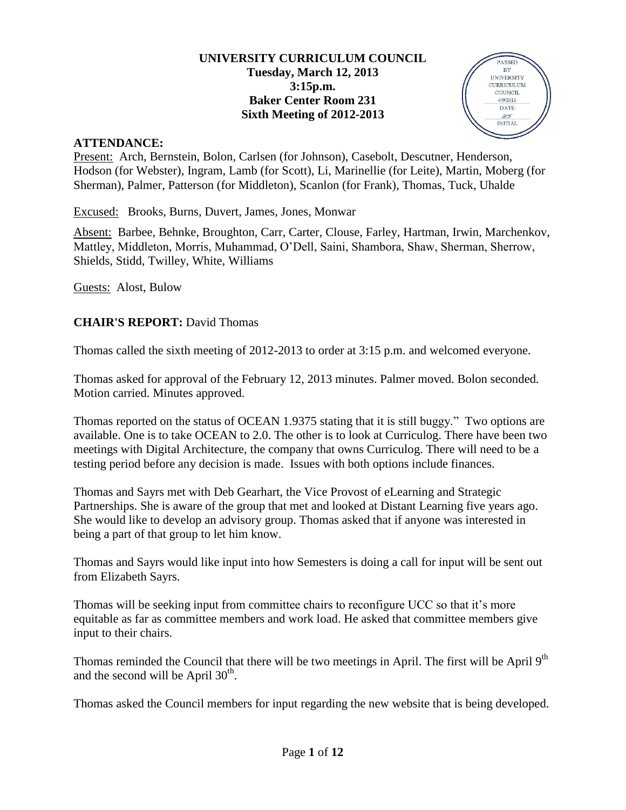### **UNIVERSITY CURRICULUM COUNCIL Tuesday, March 12, 2013 3:15p.m. Baker Center Room 231 Sixth Meeting of 2012-2013**



### **ATTENDANCE:**

Present: Arch, Bernstein, Bolon, Carlsen (for Johnson), Casebolt, Descutner, Henderson, Hodson (for Webster), Ingram, Lamb (for Scott), Li, Marinellie (for Leite), Martin, Moberg (for Sherman), Palmer, Patterson (for Middleton), Scanlon (for Frank), Thomas, Tuck, Uhalde

Excused: Brooks, Burns, Duvert, James, Jones, Monwar

Absent: Barbee, Behnke, Broughton, Carr, Carter, Clouse, Farley, Hartman, Irwin, Marchenkov, Mattley, Middleton, Morris, Muhammad, O'Dell, Saini, Shambora, Shaw, Sherman, Sherrow, Shields, Stidd, Twilley, White, Williams

Guests: Alost, Bulow

## **CHAIR'S REPORT:** David Thomas

Thomas called the sixth meeting of 2012-2013 to order at 3:15 p.m. and welcomed everyone.

Thomas asked for approval of the February 12, 2013 minutes. Palmer moved. Bolon seconded. Motion carried. Minutes approved.

Thomas reported on the status of OCEAN 1.9375 stating that it is still buggy." Two options are available. One is to take OCEAN to 2.0. The other is to look at Curriculog. There have been two meetings with Digital Architecture, the company that owns Curriculog. There will need to be a testing period before any decision is made. Issues with both options include finances.

Thomas and Sayrs met with Deb Gearhart, the Vice Provost of eLearning and Strategic Partnerships. She is aware of the group that met and looked at Distant Learning five years ago. She would like to develop an advisory group. Thomas asked that if anyone was interested in being a part of that group to let him know.

Thomas and Sayrs would like input into how Semesters is doing a call for input will be sent out from Elizabeth Sayrs.

Thomas will be seeking input from committee chairs to reconfigure UCC so that it's more equitable as far as committee members and work load. He asked that committee members give input to their chairs.

Thomas reminded the Council that there will be two meetings in April. The first will be April 9<sup>th</sup> and the second will be April  $30<sup>th</sup>$ .

Thomas asked the Council members for input regarding the new website that is being developed.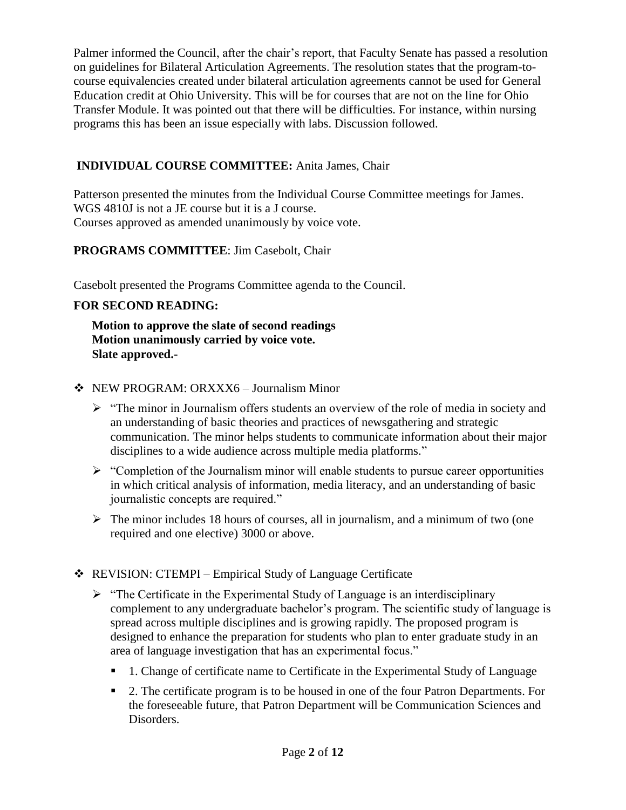Palmer informed the Council, after the chair's report, that Faculty Senate has passed a resolution on guidelines for Bilateral Articulation Agreements. The resolution states that the program-tocourse equivalencies created under bilateral articulation agreements cannot be used for General Education credit at Ohio University. This will be for courses that are not on the line for Ohio Transfer Module. It was pointed out that there will be difficulties. For instance, within nursing programs this has been an issue especially with labs. Discussion followed.

## **INDIVIDUAL COURSE COMMITTEE:** Anita James, Chair

Patterson presented the minutes from the Individual Course Committee meetings for James. WGS 4810J is not a JE course but it is a J course. Courses approved as amended unanimously by voice vote.

## **PROGRAMS COMMITTEE**: Jim Casebolt, Chair

Casebolt presented the Programs Committee agenda to the Council.

## **FOR SECOND READING:**

**Motion to approve the slate of second readings Motion unanimously carried by voice vote. Slate approved.-**

- NEW PROGRAM: ORXXX6 Journalism Minor
	- $\triangleright$  "The minor in Journalism offers students an overview of the role of media in society and an understanding of basic theories and practices of newsgathering and strategic communication. The minor helps students to communicate information about their major disciplines to a wide audience across multiple media platforms."
	- $\triangleright$  "Completion of the Journalism minor will enable students to pursue career opportunities in which critical analysis of information, media literacy, and an understanding of basic journalistic concepts are required."
	- $\triangleright$  The minor includes 18 hours of courses, all in journalism, and a minimum of two (one required and one elective) 3000 or above.

## REVISION: CTEMPI – Empirical Study of Language Certificate

- $\triangleright$  "The Certificate in the Experimental Study of Language is an interdisciplinary complement to any undergraduate bachelor's program. The scientific study of language is spread across multiple disciplines and is growing rapidly. The proposed program is designed to enhance the preparation for students who plan to enter graduate study in an area of language investigation that has an experimental focus."
	- 1. Change of certificate name to Certificate in the Experimental Study of Language
	- 2. The certificate program is to be housed in one of the four Patron Departments. For the foreseeable future, that Patron Department will be Communication Sciences and Disorders.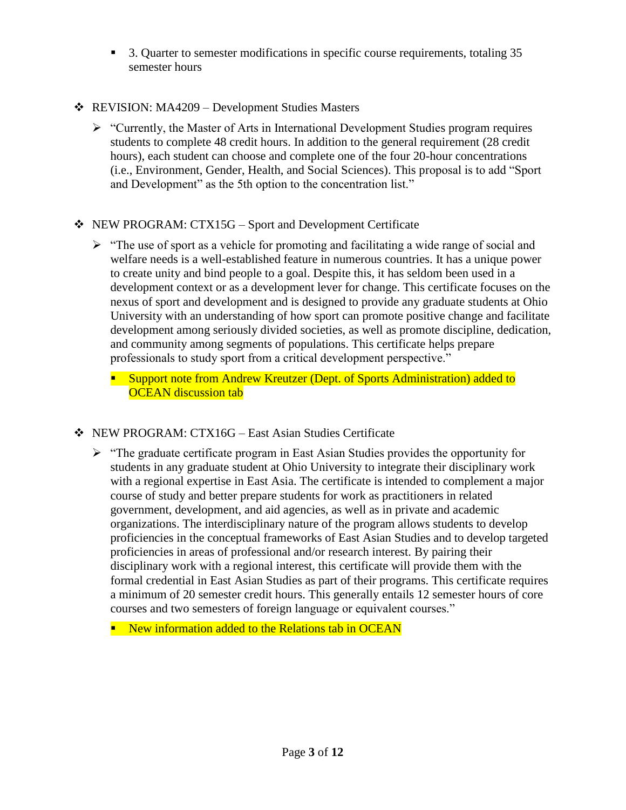- 3. Quarter to semester modifications in specific course requirements, totaling 35 semester hours
- REVISION: MA4209 Development Studies Masters
	- $\triangleright$  "Currently, the Master of Arts in International Development Studies program requires students to complete 48 credit hours. In addition to the general requirement (28 credit hours), each student can choose and complete one of the four 20-hour concentrations (i.e., Environment, Gender, Health, and Social Sciences). This proposal is to add "Sport and Development" as the 5th option to the concentration list."
- NEW PROGRAM: CTX15G Sport and Development Certificate
	- $\triangleright$  "The use of sport as a vehicle for promoting and facilitating a wide range of social and welfare needs is a well-established feature in numerous countries. It has a unique power to create unity and bind people to a goal. Despite this, it has seldom been used in a development context or as a development lever for change. This certificate focuses on the nexus of sport and development and is designed to provide any graduate students at Ohio University with an understanding of how sport can promote positive change and facilitate development among seriously divided societies, as well as promote discipline, dedication, and community among segments of populations. This certificate helps prepare professionals to study sport from a critical development perspective."
		- **Support note from Andrew Kreutzer (Dept. of Sports Administration) added to OCEAN** discussion tab
- NEW PROGRAM: CTX16G East Asian Studies Certificate
	- $\triangleright$  "The graduate certificate program in East Asian Studies provides the opportunity for students in any graduate student at Ohio University to integrate their disciplinary work with a regional expertise in East Asia. The certificate is intended to complement a major course of study and better prepare students for work as practitioners in related government, development, and aid agencies, as well as in private and academic organizations. The interdisciplinary nature of the program allows students to develop proficiencies in the conceptual frameworks of East Asian Studies and to develop targeted proficiencies in areas of professional and/or research interest. By pairing their disciplinary work with a regional interest, this certificate will provide them with the formal credential in East Asian Studies as part of their programs. This certificate requires a minimum of 20 semester credit hours. This generally entails 12 semester hours of core courses and two semesters of foreign language or equivalent courses."
		- **New information added to the Relations tab in OCEAN**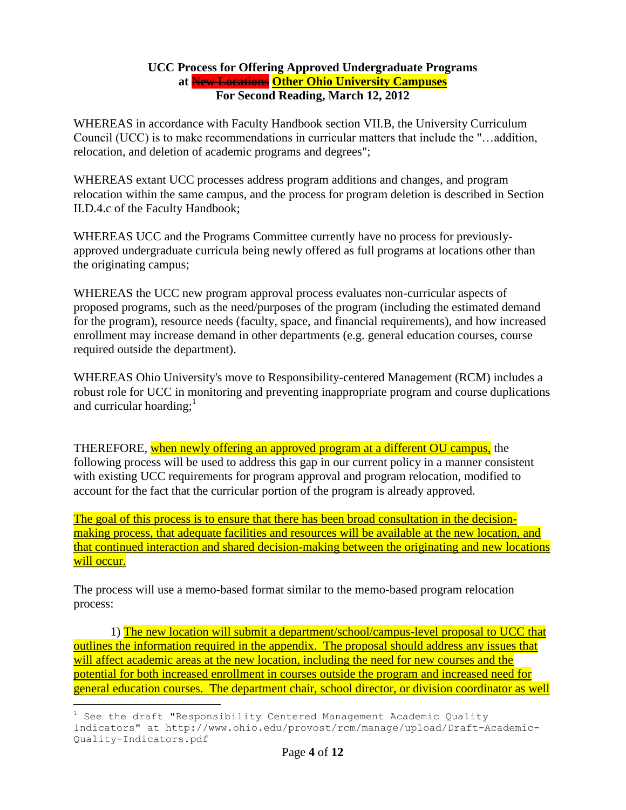#### **UCC Process for Offering Approved Undergraduate Programs at New Locations Other Ohio University Campuses For Second Reading, March 12, 2012**

WHEREAS in accordance with Faculty Handbook section VII.B, the University Curriculum Council (UCC) is to make recommendations in curricular matters that include the "…addition, relocation, and deletion of academic programs and degrees";

WHEREAS extant UCC processes address program additions and changes, and program relocation within the same campus, and the process for program deletion is described in Section II.D.4.c of the Faculty Handbook;

WHEREAS UCC and the Programs Committee currently have no process for previouslyapproved undergraduate curricula being newly offered as full programs at locations other than the originating campus;

WHEREAS the UCC new program approval process evaluates non-curricular aspects of proposed programs, such as the need/purposes of the program (including the estimated demand for the program), resource needs (faculty, space, and financial requirements), and how increased enrollment may increase demand in other departments (e.g. general education courses, course required outside the department).

WHEREAS Ohio University's move to Responsibility-centered Management (RCM) includes a robust role for UCC in monitoring and preventing inappropriate program and course duplications and curricular hoarding; $<sup>1</sup>$ </sup>

THEREFORE, when newly offering an approved program at a different OU campus, the following process will be used to address this gap in our current policy in a manner consistent with existing UCC requirements for program approval and program relocation, modified to account for the fact that the curricular portion of the program is already approved.

The goal of this process is to ensure that there has been broad consultation in the decisionmaking process, that adequate facilities and resources will be available at the new location, and that continued interaction and shared decision-making between the originating and new locations will occur.

The process will use a memo-based format similar to the memo-based program relocation process:

1) The new location will submit a department/school/campus-level proposal to UCC that outlines the information required in the appendix. The proposal should address any issues that will affect academic areas at the new location, including the need for new courses and the potential for both increased enrollment in courses outside the program and increased need for general education courses. The department chair, school director, or division coordinator as well

i<br>L

 $1$  See the draft "Responsibility Centered Management Academic Quality Indicators" at http://www.ohio.edu/provost/rcm/manage/upload/Draft-Academic-Quality-Indicators.pdf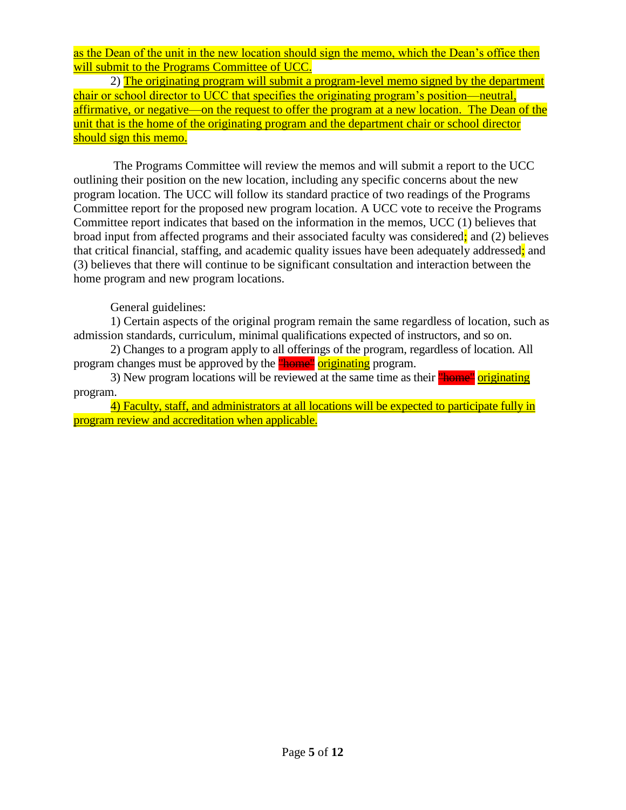as the Dean of the unit in the new location should sign the memo, which the Dean's office then will submit to the Programs Committee of UCC.

2) The originating program will submit a program-level memo signed by the department chair or school director to UCC that specifies the originating program's position—neutral, affirmative, or negative—on the request to offer the program at a new location. The Dean of the unit that is the home of the originating program and the department chair or school director should sign this memo.

The Programs Committee will review the memos and will submit a report to the UCC outlining their position on the new location, including any specific concerns about the new program location. The UCC will follow its standard practice of two readings of the Programs Committee report for the proposed new program location. A UCC vote to receive the Programs Committee report indicates that based on the information in the memos, UCC (1) believes that broad input from affected programs and their associated faculty was considered; and (2) believes that critical financial, staffing, and academic quality issues have been adequately addressed; and (3) believes that there will continue to be significant consultation and interaction between the home program and new program locations.

### General guidelines:

1) Certain aspects of the original program remain the same regardless of location, such as admission standards, curriculum, minimal qualifications expected of instructors, and so on.

2) Changes to a program apply to all offerings of the program, regardless of location. All program changes must be approved by the **"home"** originating program.

3) New program locations will be reviewed at the same time as their **"home"** originating program.

4) Faculty, staff, and administrators at all locations will be expected to participate fully in program review and accreditation when applicable.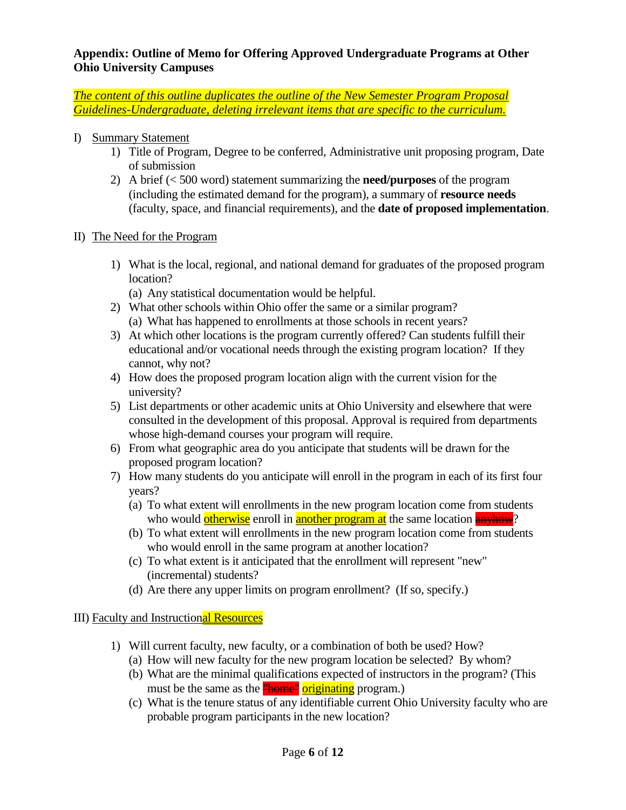### **Appendix: Outline of Memo for Offering Approved Undergraduate Programs at Other Ohio University Campuses**

*The content of this outline duplicates the outline of the New Semester Program Proposal Guidelines-Undergraduate, deleting irrelevant items that are specific to the curriculum.*

- I) Summary Statement
	- 1) Title of Program, Degree to be conferred, Administrative unit proposing program, Date of submission
	- 2) A brief (< 500 word) statement summarizing the **need/purposes** of the program (including the estimated demand for the program), a summary of **resource needs** (faculty, space, and financial requirements), and the **date of proposed implementation**.
- II) The Need for the Program
	- 1) What is the local, regional, and national demand for graduates of the proposed program location?
		- (a) Any statistical documentation would be helpful.
	- 2) What other schools within Ohio offer the same or a similar program? (a) What has happened to enrollments at those schools in recent years?
	- 3) At which other locations is the program currently offered? Can students fulfill their educational and/or vocational needs through the existing program location? If they cannot, why not?
	- 4) How does the proposed program location align with the current vision for the university?
	- 5) List departments or other academic units at Ohio University and elsewhere that were consulted in the development of this proposal. Approval is required from departments whose high-demand courses your program will require.
	- 6) From what geographic area do you anticipate that students will be drawn for the proposed program location?
	- 7) How many students do you anticipate will enroll in the program in each of its first four years?
		- (a) To what extent will enrollments in the new program location come from students who would otherwise enroll in another program at the same location **anyhow**?
		- (b) To what extent will enrollments in the new program location come from students who would enroll in the same program at another location?
		- (c) To what extent is it anticipated that the enrollment will represent "new" (incremental) students?
		- (d) Are there any upper limits on program enrollment? (If so, specify.)

## III) Faculty and Instructional Resources

- 1) Will current faculty, new faculty, or a combination of both be used? How?
	- (a) How will new faculty for the new program location be selected? By whom?
	- (b) What are the minimal qualifications expected of instructors in the program? (This must be the same as the **"home"** originating program.)
	- (c) What is the tenure status of any identifiable current Ohio University faculty who are probable program participants in the new location?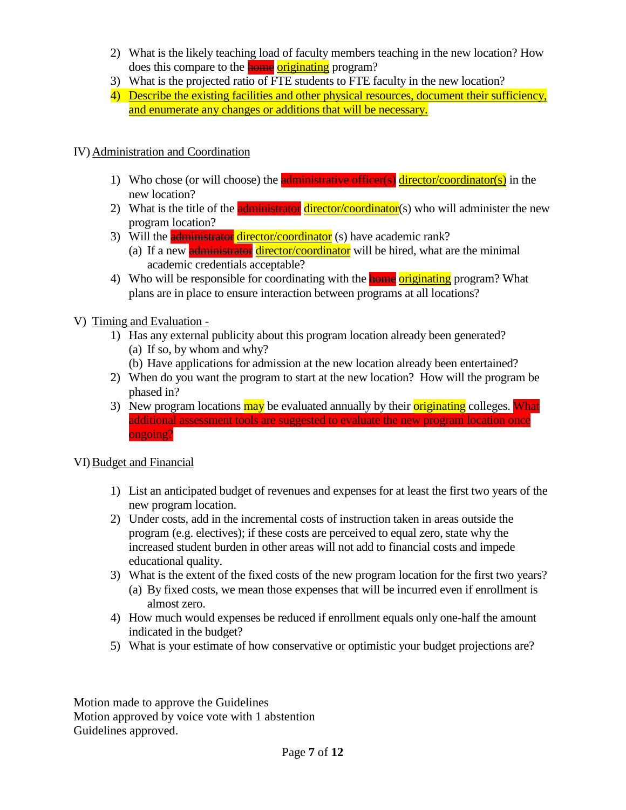- 2) What is the likely teaching load of faculty members teaching in the new location? How does this compare to the **home** originating program?
- 3) What is the projected ratio of FTE students to FTE faculty in the new location?
- 4) Describe the existing facilities and other physical resources, document their sufficiency, and enumerate any changes or additions that will be necessary.

## IV) Administration and Coordination

- 1) Who chose (or will choose) the **administrative officer(s)** director/coordinator(s) in the new location?
- 2) What is the title of the **administrator** director/coordinator(s) who will administer the new program location?
- 3) Will the **administrator director/coordinator** (s) have academic rank?
	- (a) If a new **administrator** director/coordinator will be hired, what are the minimal academic credentials acceptable?
- 4) Who will be responsible for coordinating with the **home originating** program? What plans are in place to ensure interaction between programs at all locations?
- V) Timing and Evaluation
	- 1) Has any external publicity about this program location already been generated? (a) If so, by whom and why?
		- (b) Have applications for admission at the new location already been entertained?
	- 2) When do you want the program to start at the new location? How will the program be phased in?
	- 3) New program locations may be evaluated annually by their originating colleges. What additional assessment tools are suggested to evaluate the new program location once ongoing?

## VI)Budget and Financial

- 1) List an anticipated budget of revenues and expenses for at least the first two years of the new program location.
- 2) Under costs, add in the incremental costs of instruction taken in areas outside the program (e.g. electives); if these costs are perceived to equal zero, state why the increased student burden in other areas will not add to financial costs and impede educational quality.
- 3) What is the extent of the fixed costs of the new program location for the first two years? (a) By fixed costs, we mean those expenses that will be incurred even if enrollment is almost zero.
- 4) How much would expenses be reduced if enrollment equals only one-half the amount indicated in the budget?
- 5) What is your estimate of how conservative or optimistic your budget projections are?

Motion made to approve the Guidelines Motion approved by voice vote with 1 abstention Guidelines approved.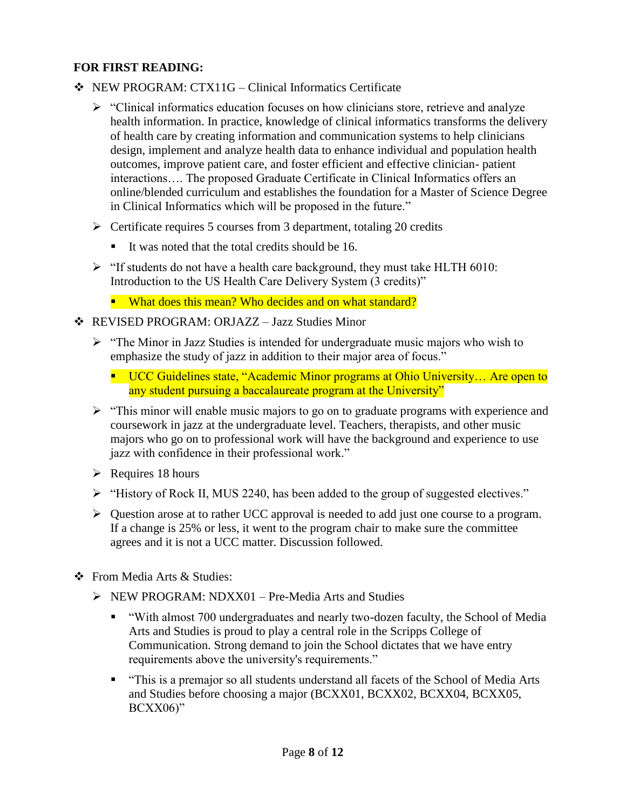## **FOR FIRST READING:**

- NEW PROGRAM: CTX11G Clinical Informatics Certificate
	- $\triangleright$  "Clinical informatics education focuses on how clinicians store, retrieve and analyze health information. In practice, knowledge of clinical informatics transforms the delivery of health care by creating information and communication systems to help clinicians design, implement and analyze health data to enhance individual and population health outcomes, improve patient care, and foster efficient and effective clinician- patient interactions…. The proposed Graduate Certificate in Clinical Informatics offers an online/blended curriculum and establishes the foundation for a Master of Science Degree in Clinical Informatics which will be proposed in the future."
	- $\triangleright$  Certificate requires 5 courses from 3 department, totaling 20 credits
		- It was noted that the total credits should be  $16$ .
	- $\triangleright$  "If students do not have a health care background, they must take HLTH 6010: Introduction to the US Health Care Delivery System (3 credits)"
		- What does this mean? Who decides and on what standard?
- REVISED PROGRAM: ORJAZZ Jazz Studies Minor
	- $\triangleright$  "The Minor in Jazz Studies is intended for undergraduate music majors who wish to emphasize the study of jazz in addition to their major area of focus."
		- UCC Guidelines state, "Academic Minor programs at Ohio University... Are open to any student pursuing a baccalaureate program at the University"
	- $\triangleright$  "This minor will enable music majors to go on to graduate programs with experience and coursework in jazz at the undergraduate level. Teachers, therapists, and other music majors who go on to professional work will have the background and experience to use jazz with confidence in their professional work."
	- $\triangleright$  Requires 18 hours
	- "History of Rock II, MUS 2240, has been added to the group of suggested electives."
	- $\triangleright$  Question arose at to rather UCC approval is needed to add just one course to a program. If a change is 25% or less, it went to the program chair to make sure the committee agrees and it is not a UCC matter. Discussion followed.
- From Media Arts & Studies:
	- $\triangleright$  NEW PROGRAM: NDXX01 Pre-Media Arts and Studies
		- "With almost 700 undergraduates and nearly two-dozen faculty, the School of Media Arts and Studies is proud to play a central role in the Scripps College of Communication. Strong demand to join the School dictates that we have entry requirements above the university's requirements."
		- "This is a premajor so all students understand all facets of the School of Media Arts and Studies before choosing a major (BCXX01, BCXX02, BCXX04, BCXX05, BCXX06)"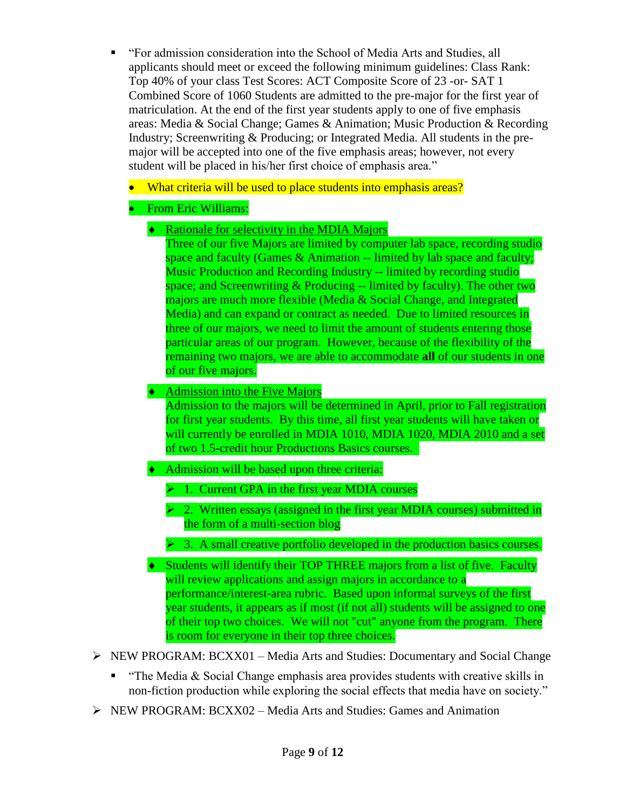- "For admission consideration into the School of Media Arts and Studies, all applicants should meet or exceed the following minimum guidelines: Class Rank: Top 40% of your class Test Scores: ACT Composite Score of 23 -or- SAT 1 Combined Score of 1060 Students are admitted to the pre-major for the first year of matriculation. At the end of the first year students apply to one of five emphasis areas: Media & Social Change; Games & Animation; Music Production & Recording Industry; Screenwriting & Producing; or Integrated Media. All students in the premajor will be accepted into one of the five emphasis areas; however, not every student will be placed in his/her first choice of emphasis area."
	- What criteria will be used to place students into emphasis areas?

# From Eric Williams:

◆ Rationale for selectivity in the MDIA Majors

Three of our five Majors are limited by computer lab space, recording studio space and faculty (Games & Animation -- limited by lab space and faculty; Music Production and Recording Industry -- limited by recording studio space; and Screenwriting  $&$  Producing -- limited by faculty). The other two majors are much more flexible (Media & Social Change, and Integrated Media) and can expand or contract as needed. Due to limited resources in three of our majors, we need to limit the amount of students entering those particular areas of our program. However, because of the flexibility of the remaining two majors, we are able to accommodate **all** of our students in one of our five majors.

 $\triangleleft$  Admission into the Five Majors

Admission to the majors will be determined in April, prior to Fall registration for first year students. By this time, all first year students will have taken or will currently be enrolled in MDIA 1010, MDIA 1020, MDIA 2010 and a set of two 1.5-credit hour Productions Basics courses.

- Admission will be based upon three criteria:
	- $\geq 1$ . Current GPA in the first year MDIA courses
	- $\triangleright$  2. Written essays (assigned in the first year MDIA courses) submitted in the form of a multi-section blog
	- $\triangleright$  3. A small creative portfolio developed in the production basics courses.
- Students will identify their TOP THREE majors from a list of five. Faculty will review applications and assign majors in accordance to a performance/interest-area rubric. Based upon informal surveys of the first year students, it appears as if most (if not all) students will be assigned to one of their top two choices. We will not "cut" anyone from the program. There is room for everyone in their top three choices.
- $\triangleright$  NEW PROGRAM: BCXX01 Media Arts and Studies: Documentary and Social Change
	- **The Media & Social Change emphasis area provides students with creative skills in** non-fiction production while exploring the social effects that media have on society."
- $\triangleright$  NEW PROGRAM: BCXX02 Media Arts and Studies: Games and Animation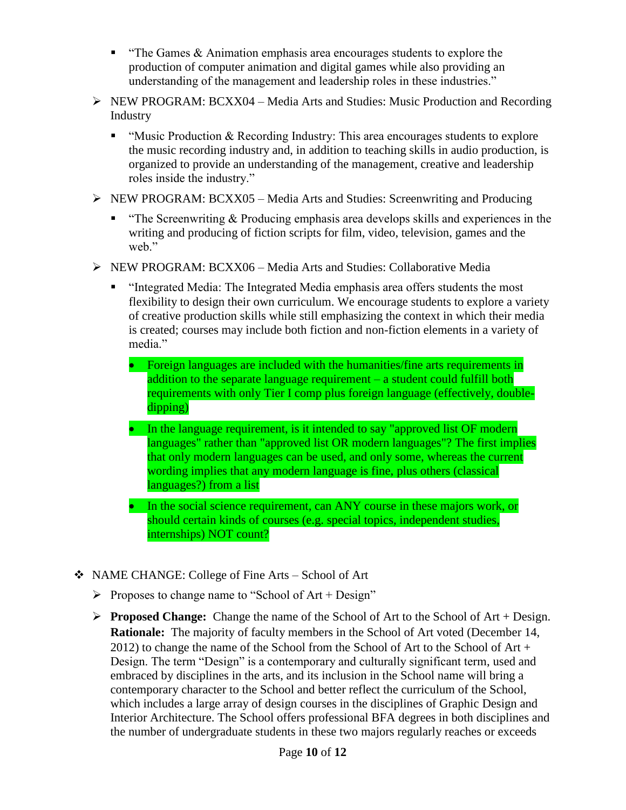- $\blacksquare$  "The Games & Animation emphasis area encourages students to explore the production of computer animation and digital games while also providing an understanding of the management and leadership roles in these industries."
- $\triangleright$  NEW PROGRAM: BCXX04 Media Arts and Studies: Music Production and Recording Industry
	- " "Music Production  $&$  Recording Industry: This area encourages students to explore the music recording industry and, in addition to teaching skills in audio production, is organized to provide an understanding of the management, creative and leadership roles inside the industry."
- $\triangleright$  NEW PROGRAM: BCXX05 Media Arts and Studies: Screenwriting and Producing
	- **"** "The Screenwriting  $\&$  Producing emphasis area develops skills and experiences in the writing and producing of fiction scripts for film, video, television, games and the web."
- $\triangleright$  NEW PROGRAM: BCXX06 Media Arts and Studies: Collaborative Media
	- "Integrated Media: The Integrated Media emphasis area offers students the most flexibility to design their own curriculum. We encourage students to explore a variety of creative production skills while still emphasizing the context in which their media is created; courses may include both fiction and non-fiction elements in a variety of media."
		- Foreign languages are included with the humanities/fine arts requirements in addition to the separate language requirement – a student could fulfill both requirements with only Tier I comp plus foreign language (effectively, doubledipping)
		- In the language requirement, is it intended to say "approved list OF modern languages" rather than "approved list OR modern languages"? The first implies that only modern languages can be used, and only some, whereas the current wording implies that any modern language is fine, plus others (classical languages?) from a list
		- In the social science requirement, can ANY course in these majors work, or should certain kinds of courses (e.g. special topics, independent studies, internships) NOT count?
- NAME CHANGE: College of Fine Arts School of Art
	- Proposes to change name to "School of  $Art + Design"$
	- **Proposed Change:** Change the name of the School of Art to the School of Art + Design. **Rationale:** The majority of faculty members in the School of Art voted (December 14, 2012) to change the name of the School from the School of Art to the School of Art + Design. The term "Design" is a contemporary and culturally significant term, used and embraced by disciplines in the arts, and its inclusion in the School name will bring a contemporary character to the School and better reflect the curriculum of the School, which includes a large array of design courses in the disciplines of Graphic Design and Interior Architecture. The School offers professional BFA degrees in both disciplines and the number of undergraduate students in these two majors regularly reaches or exceeds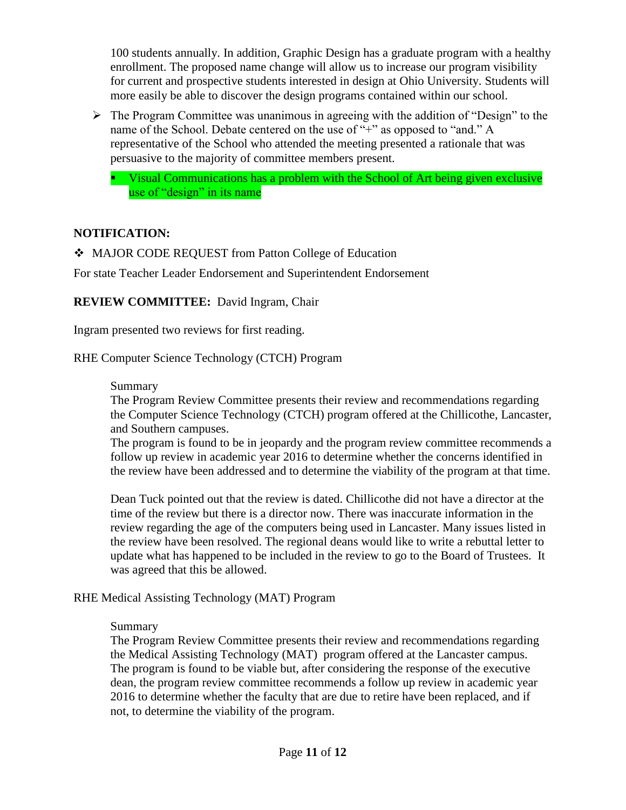100 students annually. In addition, Graphic Design has a graduate program with a healthy enrollment. The proposed name change will allow us to increase our program visibility for current and prospective students interested in design at Ohio University. Students will more easily be able to discover the design programs contained within our school.

- $\triangleright$  The Program Committee was unanimous in agreeing with the addition of "Design" to the name of the School. Debate centered on the use of "+" as opposed to "and." A representative of the School who attended the meeting presented a rationale that was persuasive to the majority of committee members present.
	- Visual Communications has a problem with the School of Art being given exclusive use of "design" in its name

## **NOTIFICATION:**

MAJOR CODE REQUEST from Patton College of Education

For state Teacher Leader Endorsement and Superintendent Endorsement

**REVIEW COMMITTEE:** David Ingram, Chair

Ingram presented two reviews for first reading.

RHE Computer Science Technology (CTCH) Program

#### Summary

The Program Review Committee presents their review and recommendations regarding the Computer Science Technology (CTCH) program offered at the Chillicothe, Lancaster, and Southern campuses.

The program is found to be in jeopardy and the program review committee recommends a follow up review in academic year 2016 to determine whether the concerns identified in the review have been addressed and to determine the viability of the program at that time.

Dean Tuck pointed out that the review is dated. Chillicothe did not have a director at the time of the review but there is a director now. There was inaccurate information in the review regarding the age of the computers being used in Lancaster. Many issues listed in the review have been resolved. The regional deans would like to write a rebuttal letter to update what has happened to be included in the review to go to the Board of Trustees. It was agreed that this be allowed.

### RHE Medical Assisting Technology (MAT) Program

### Summary

The Program Review Committee presents their review and recommendations regarding the Medical Assisting Technology (MAT) program offered at the Lancaster campus. The program is found to be viable but, after considering the response of the executive dean, the program review committee recommends a follow up review in academic year 2016 to determine whether the faculty that are due to retire have been replaced, and if not, to determine the viability of the program.